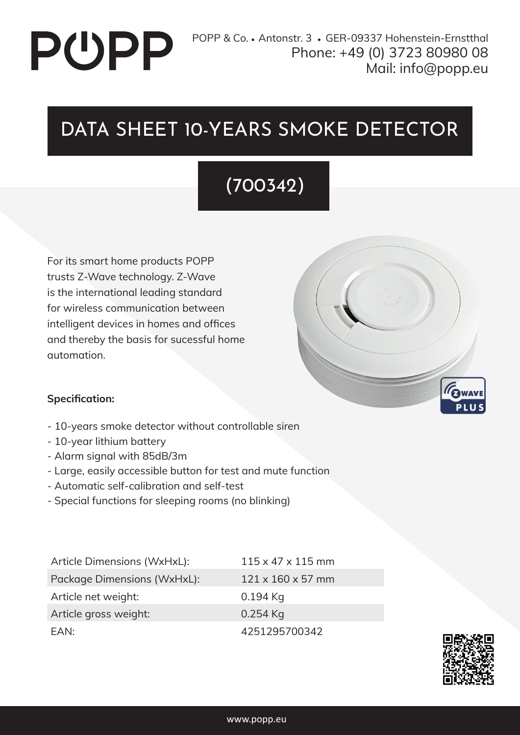# **PUPP**

## DATA SHEET 10-YEARS SMOKE DETECTOR

## (700342)

For its smart home products POPP trusts Z-Wave technology. Z-Wave is the international leading standard for wireless communication between intelligent devices in homes and offices and thereby the basis for sucessful home automation.



#### **Specification:**

- 10-years smoke detector without controllable siren
- 10-year lithium battery
- Alarm signal with 85dB/3m
- Large, easily accessible button for test and mute function
- Automatic self-calibration and self-test
- Special functions for sleeping rooms (no blinking)

| Article Dimensions (WxHxL): | $115 \times 47 \times 115$ mm |
|-----------------------------|-------------------------------|
| Package Dimensions (WxHxL): | $121 \times 160 \times 57$ mm |
| Article net weight:         | $0.194$ Kg                    |
| Article gross weight:       | $0.254$ Kg                    |
| FAN:                        | 4251295700342                 |